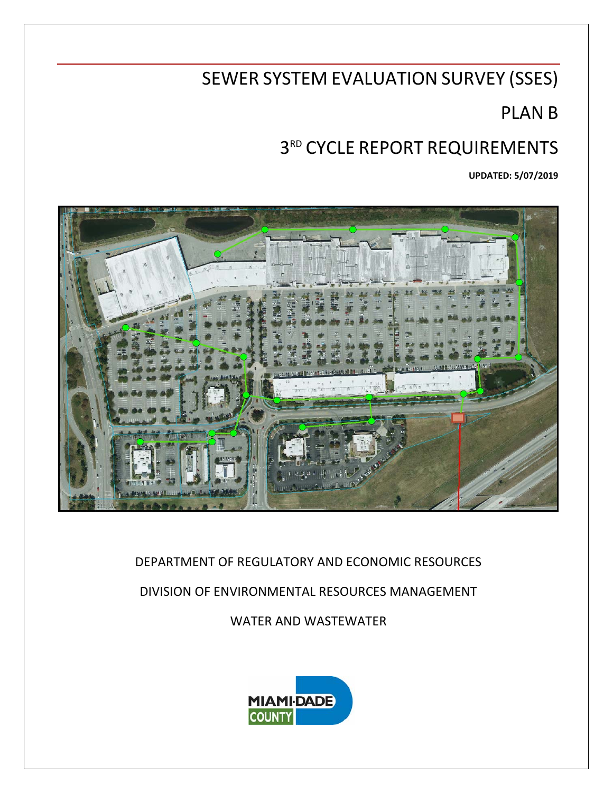# SEWER SYSTEM EVALUATION SURVEY (SSES)

# PLAN B

# 3RD CYCLE REPORT REQUIREMENTS

**UPDATED: 5/07/2019**



DEPARTMENT OF REGULATORY AND ECONOMIC RESOURCES

DIVISION OF ENVIRONMENTAL RESOURCES MANAGEMENT

WATER AND WASTEWATER

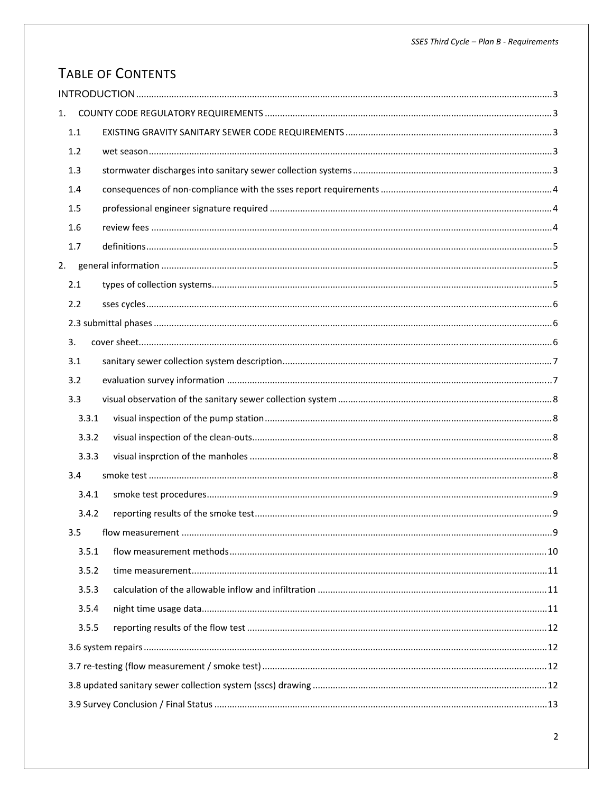## TABLE OF CONTENTS

| 1. |         |  |  |  |  |  |
|----|---------|--|--|--|--|--|
|    | $1.1\,$ |  |  |  |  |  |
|    | 1.2     |  |  |  |  |  |
|    | 1.3     |  |  |  |  |  |
|    | 1.4     |  |  |  |  |  |
|    | 1.5     |  |  |  |  |  |
|    | 1.6     |  |  |  |  |  |
|    | 1.7     |  |  |  |  |  |
|    |         |  |  |  |  |  |
|    | 2.1     |  |  |  |  |  |
|    | 2.2     |  |  |  |  |  |
|    |         |  |  |  |  |  |
|    | 3.      |  |  |  |  |  |
|    | 3.1     |  |  |  |  |  |
|    | 3.2     |  |  |  |  |  |
|    | 3.3     |  |  |  |  |  |
|    | 3.3.1   |  |  |  |  |  |
|    | 3.3.2   |  |  |  |  |  |
|    | 3.3.3   |  |  |  |  |  |
|    | 3.4     |  |  |  |  |  |
|    | 3.4.1   |  |  |  |  |  |
|    | 3.4.2   |  |  |  |  |  |
|    | 3.5     |  |  |  |  |  |
|    | 3.5.1   |  |  |  |  |  |
|    | 3.5.2   |  |  |  |  |  |
|    | 3.5.3   |  |  |  |  |  |
|    | 3.5.4   |  |  |  |  |  |
|    | 3.5.5   |  |  |  |  |  |
|    |         |  |  |  |  |  |
|    |         |  |  |  |  |  |
|    |         |  |  |  |  |  |
|    |         |  |  |  |  |  |
|    |         |  |  |  |  |  |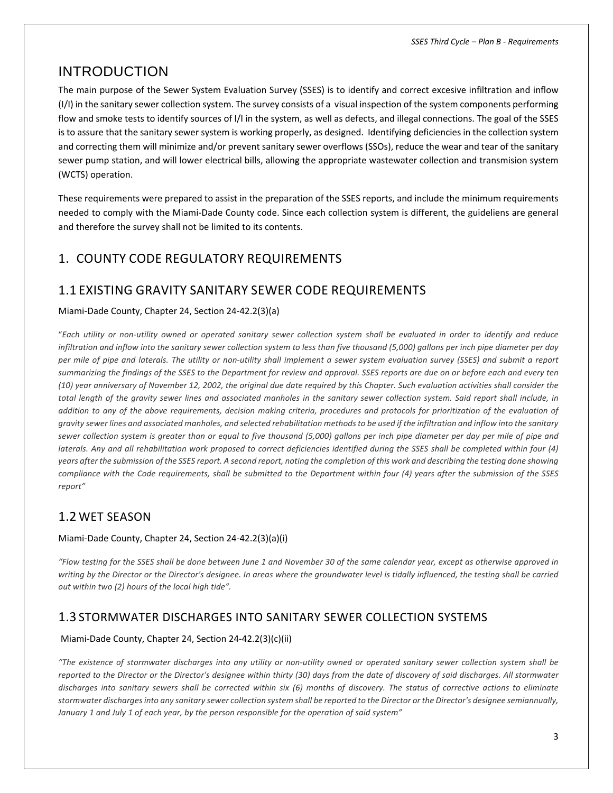## INTRODUCTION

The main purpose of the Sewer System Evaluation Survey (SSES) is to identify and correct excesive infiltration and inflow (I/I) in the sanitary sewer collection system. The survey consists of a visual inspection of the system components performing flow and smoke tests to identify sources of I/I in the system, as well as defects, and illegal connections. The goal of the SSES is to assure that the sanitary sewer system is working properly, as designed. Identifying deficiencies in the collection system and correcting them will minimize and/or prevent sanitary sewer overflows (SSOs), reduce the wear and tear of the sanitary sewer pump station, and will lower electrical bills, allowing the appropriate wastewater collection and transmision system (WCTS) operation.

These requirements were prepared to assist in the preparation of the SSES reports, and include the minimum requirements needed to comply with the Miami‐Dade County code. Since each collection system is different, the guideliens are general and therefore the survey shall not be limited to its contents.

## 1. COUNTY CODE REGULATORY REQUIREMENTS

## 1.1 EXISTING GRAVITY SANITARY SEWER CODE REQUIREMENTS

#### Miami‐Dade County, Chapter 24, Section 24‐42.2(3)(a)

"Each utility or non-utility owned or operated sanitary sewer collection system shall be evaluated in order to identify and reduce infiltration and inflow into the sanitary sewer collection system to less than five thousand (5,000) gallons per inch pipe diameter per day per mile of pipe and laterals. The utility or non-utility shall implement a sewer system evaluation survey (SSES) and submit a report summarizing the findings of the SSES to the Department for review and approval. SSES reports are due on or before each and every ten (10) year anniversary of November 12, 2002, the original due date required by this Chapter. Such evaluation activities shall consider the total length of the gravity sewer lines and associated manholes in the sanitary sewer collection system. Said report shall include, in addition to any of the above requirements, decision making criteria, procedures and protocols for prioritization of the evaluation of gravity sewer lines and associated manholes, and selected rehabilitation methods to be used if the infiltration and inflow into the sanitary sewer collection system is greater than or equal to five thousand (5,000) gallons per inch pipe diameter per day per mile of pipe and laterals. Any and all rehabilitation work proposed to correct deficiencies identified during the SSES shall be completed within four (4) years after the submission of the SSES report. A second report, noting the completion of this work and describing the testing done showing compliance with the Code requirements, shall be submitted to the Department within four (4) years after the submission of the SSES *report"*

## 1.2 WET SEASON

#### Miami‐Dade County, Chapter 24, Section 24‐42.2(3)(a)(i)

"Flow testing for the SSES shall be done between June 1 and November 30 of the same calendar year, except as otherwise approved in writing by the Director or the Director's designee. In areas where the groundwater level is tidally influenced, the testing shall be carried *out within two (2) hours of the local high tide".*

## 1.3 STORMWATER DISCHARGES INTO SANITARY SEWER COLLECTION SYSTEMS

#### Miami‐Dade County, Chapter 24, Section 24‐42.2(3)(c)(ii)

"The existence of stormwater discharges into any utility or non-utility owned or operated sanitary sewer collection system shall be reported to the Director or the Director's designee within thirty (30) days from the date of discovery of said discharges. All stormwater discharges into sanitary sewers shall be corrected within six (6) months of discovery. The status of corrective actions to eliminate stormwater discharges into any sanitary sewer collection system shall be reported to the Director or the Director's designee semiannually, *January 1 and July 1 of each year, by the person responsible for the operation of said system"*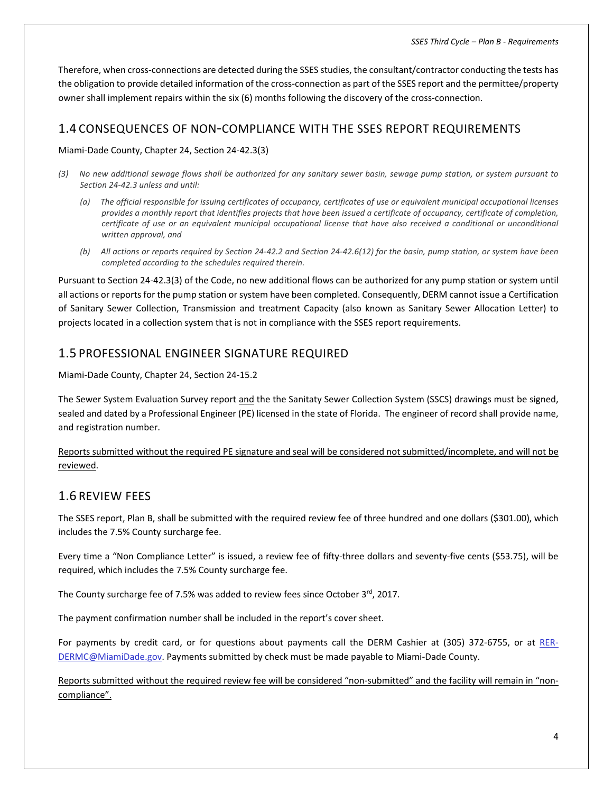Therefore, when cross‐connections are detected during the SSES studies, the consultant/contractor conducting the tests has the obligation to provide detailed information of the cross-connection as part of the SSES report and the permittee/property owner shall implement repairs within the six (6) months following the discovery of the cross-connection.

## 1.4 CONSEQUENCES OF NON‐COMPLIANCE WITH THE SSES REPORT REQUIREMENTS

#### Miami‐Dade County, Chapter 24, Section 24‐42.3(3)

- (3) No new additional sewage flows shall be authorized for any sanitary sewer basin, sewage pump station, or system pursuant to *Section 24‐42.3 unless and until:* 
	- (a) The official responsible for issuing certificates of occupancy, certificates of use or equivalent municipal occupational licenses provides a monthly report that identifies projects that have been issued a certificate of occupancy, certificate of completion, certificate of use or an equivalent municipal occupational license that have also received a conditional or unconditional *written approval, and*
	- (b) All actions or reports required by Section 24-42.2 and Section 24-42.6(12) for the basin, pump station, or system have been *completed according to the schedules required therein.*

Pursuant to Section 24‐42.3(3) of the Code, no new additional flows can be authorized for any pump station or system until all actions or reportsfor the pump station or system have been completed. Consequently, DERM cannot issue a Certification of Sanitary Sewer Collection, Transmission and treatment Capacity (also known as Sanitary Sewer Allocation Letter) to projects located in a collection system that is not in compliance with the SSES report requirements.

## 1.5 PROFESSIONAL ENGINEER SIGNATURE REQUIRED

Miami‐Dade County, Chapter 24, Section 24‐15.2

The Sewer System Evaluation Survey report and the the Sanitaty Sewer Collection System (SSCS) drawings must be signed, sealed and dated by a Professional Engineer (PE) licensed in the state of Florida. The engineer of record shall provide name, and registration number.

Reports submitted without the required PE signature and seal will be considered not submitted/incomplete, and will not be reviewed.

## 1.6 REVIEW FEES

The SSES report, Plan B, shall be submitted with the required review fee of three hundred and one dollars (\$301.00), which includes the 7.5% County surcharge fee.

Every time a "Non Compliance Letter" is issued, a review fee of fifty-three dollars and seventy-five cents (\$53.75), will be required, which includes the 7.5% County surcharge fee.

The County surcharge fee of 7.5% was added to review fees since October 3rd, 2017.

The payment confirmation number shall be included in the report's cover sheet.

For payments by credit card, or for questions about payments call the DERM Cashier at (305) 372-6755, or at RER-DERMC@MiamiDade.gov. Payments submitted by check must be made payable to Miami-Dade County.

Reports submitted without the required review fee will be considered "non-submitted" and the facility will remain in "noncompliance".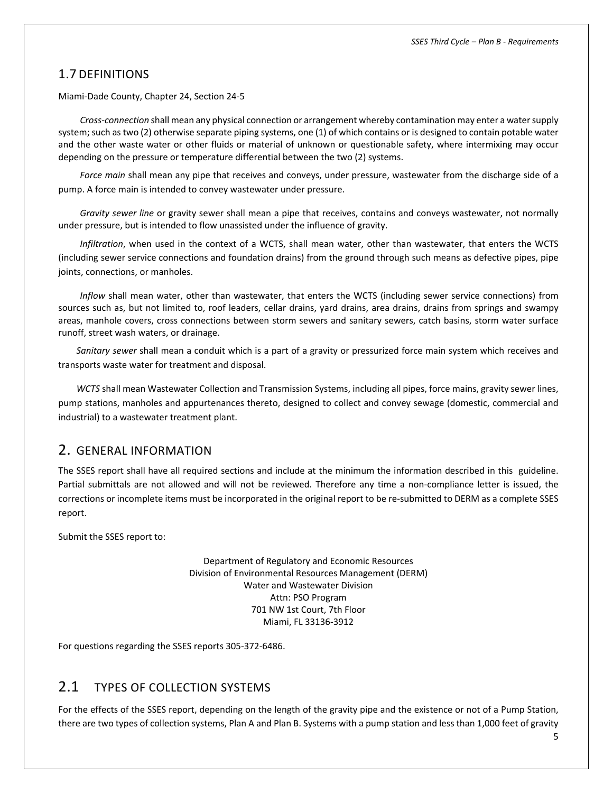## 1.7 DEFINITIONS

Miami‐Dade County, Chapter 24, Section 24‐5

*Cross‐connection* shall mean any physical connection or arrangement whereby contamination may enter a watersupply system; such as two (2) otherwise separate piping systems, one (1) of which contains or is designed to contain potable water and the other waste water or other fluids or material of unknown or questionable safety, where intermixing may occur depending on the pressure or temperature differential between the two (2) systems.

*Force main* shall mean any pipe that receives and conveys, under pressure, wastewater from the discharge side of a pump. A force main is intended to convey wastewater under pressure.

*Gravity sewer line* or gravity sewer shall mean a pipe that receives, contains and conveys wastewater, not normally under pressure, but is intended to flow unassisted under the influence of gravity.

*Infiltration*, when used in the context of a WCTS, shall mean water, other than wastewater, that enters the WCTS (including sewer service connections and foundation drains) from the ground through such means as defective pipes, pipe joints, connections, or manholes.

*Inflow* shall mean water, other than wastewater, that enters the WCTS (including sewer service connections) from sources such as, but not limited to, roof leaders, cellar drains, yard drains, area drains, drains from springs and swampy areas, manhole covers, cross connections between storm sewers and sanitary sewers, catch basins, storm water surface runoff, street wash waters, or drainage.

*Sanitary sewer* shall mean a conduit which is a part of a gravity or pressurized force main system which receives and transports waste water for treatment and disposal.

*WCTS* shall mean Wastewater Collection and Transmission Systems, including all pipes, force mains, gravity sewer lines, pump stations, manholes and appurtenances thereto, designed to collect and convey sewage (domestic, commercial and industrial) to a wastewater treatment plant.

## 2. GENERAL INFORMATION

The SSES report shall have all required sections and include at the minimum the information described in this guideline. Partial submittals are not allowed and will not be reviewed. Therefore any time a non-compliance letter is issued, the corrections or incomplete items must be incorporated in the original report to be re‐submitted to DERM as a complete SSES report.

Submit the SSES report to:

Department of Regulatory and Economic Resources Division of Environmental Resources Management (DERM) Water and Wastewater Division Attn: PSO Program 701 NW 1st Court, 7th Floor Miami, FL 33136‐3912

For questions regarding the SSES reports 305‐372‐6486.

## 2.1 TYPES OF COLLECTION SYSTEMS

For the effects of the SSES report, depending on the length of the gravity pipe and the existence or not of a Pump Station, there are two types of collection systems, Plan A and Plan B. Systems with a pump station and less than 1,000 feet of gravity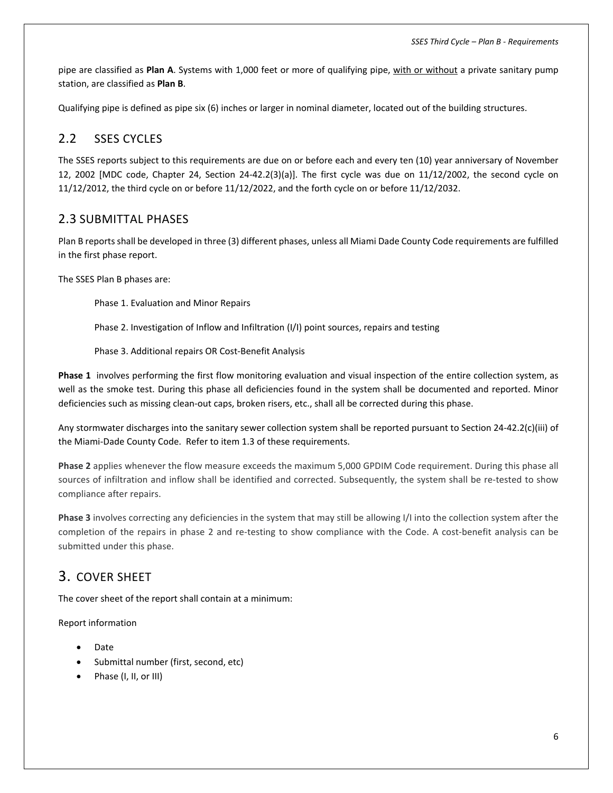pipe are classified as **Plan A**. Systems with 1,000 feet or more of qualifying pipe, with or without a private sanitary pump station, are classified as **Plan B**.

Qualifying pipe is defined as pipe six (6) inches or larger in nominal diameter, located out of the building structures.

## 2.2 SSES CYCLES

The SSES reports subject to this requirements are due on or before each and every ten (10) year anniversary of November 12, 2002 [MDC code, Chapter 24, Section 24‐42.2(3)(a)]. The first cycle was due on 11/12/2002, the second cycle on 11/12/2012, the third cycle on or before 11/12/2022, and the forth cycle on or before 11/12/2032.

#### 2.3 SUBMITTAL PHASES

Plan B reportsshall be developed in three (3) different phases, unless all Miami Dade County Code requirements are fulfilled in the first phase report.

The SSES Plan B phases are:

Phase 1. Evaluation and Minor Repairs

Phase 2. Investigation of Inflow and Infiltration (I/I) point sources, repairs and testing

Phase 3. Additional repairs OR Cost‐Benefit Analysis

**Phase 1** involves performing the first flow monitoring evaluation and visual inspection of the entire collection system, as well as the smoke test. During this phase all deficiencies found in the system shall be documented and reported. Minor deficiencies such as missing clean‐out caps, broken risers, etc., shall all be corrected during this phase.

Any stormwater discharges into the sanitary sewer collection system shall be reported pursuant to Section 24‐42.2(c)(iii) of the Miami‐Dade County Code. Refer to item 1.3 of these requirements.

**Phase 2** applies whenever the flow measure exceeds the maximum 5,000 GPDIM Code requirement. During this phase all sources of infiltration and inflow shall be identified and corrected. Subsequently, the system shall be re-tested to show compliance after repairs.

**Phase 3** involves correcting any deficiencies in the system that may still be allowing I/I into the collection system after the completion of the repairs in phase 2 and re-testing to show compliance with the Code. A cost-benefit analysis can be submitted under this phase.

## 3. COVER SHEET

The cover sheet of the report shall contain at a minimum:

Report information

- Date
- Submittal number (first, second, etc)
- Phase (I, II, or III)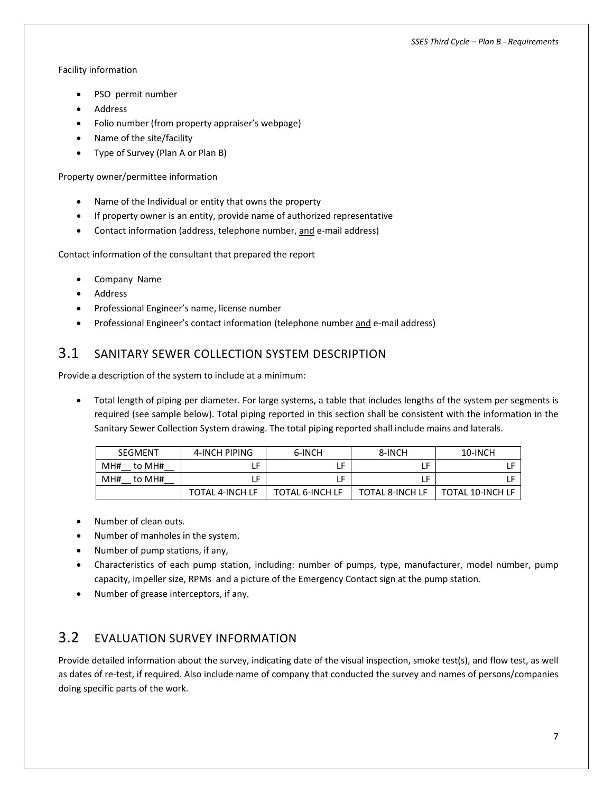#### Facility information

- PSO permit number
- Address
- Folio number (from property appraiser's webpage)
- Name of the site/facility
- Type of Survey (Plan A or Plan B)

Property owner/permittee information

- Name of the Individual or entity that owns the property
- If property owner is an entity, provide name of authorized representative
- Contact information (address, telephone number, and e-mail address)

Contact information of the consultant that prepared the report

- Company Name
- Address
- Professional Engineer's name, license number
- Professional Engineer's contact information (telephone number and e-mail address)

## 3.1 SANITARY SEWER COLLECTION SYSTEM DESCRIPTION

Provide a description of the system to include at a minimum:

 Total length of piping per diameter. For large systems, a table that includes lengths of the system per segments is required (see sample below). Total piping reported in this section shall be consistent with the information in the Sanitary Sewer Collection System drawing. The total piping reported shall include mains and laterals.

| SEGMENT       | 4-INCH PIPING   | 6-INCH                 | 8-INCH                 | 10-INCH                 |
|---------------|-----------------|------------------------|------------------------|-------------------------|
| MH#<br>to MH# |                 | F                      | LF                     |                         |
| MH#<br>to MH# |                 | F                      | LF                     |                         |
|               | TOTAL 4-INCH LF | <b>TOTAL 6-INCH LF</b> | <b>TOTAL 8-INCH LF</b> | <b>TOTAL 10-INCH LF</b> |

- Number of clean outs.
- Number of manholes in the system.
- Number of pump stations, if any,
- Characteristics of each pump station, including: number of pumps, type, manufacturer, model number, pump capacity, impeller size, RPMs and a picture of the Emergency Contact sign at the pump station.
- Number of grease interceptors, if any.

## 3.2 EVALUATION SURVEY INFORMATION

Provide detailed information about the survey, indicating date of the visual inspection, smoke test(s), and flow test, as well as dates of re-test, if required. Also include name of company that conducted the survey and names of persons/companies doing specific parts of the work.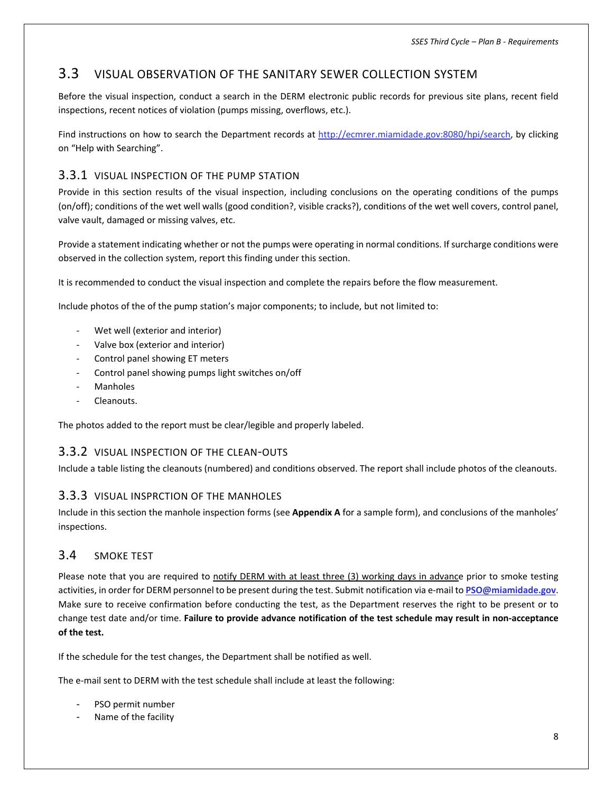## 3.3 VISUAL OBSERVATION OF THE SANITARY SEWER COLLECTION SYSTEM

Before the visual inspection, conduct a search in the DERM electronic public records for previous site plans, recent field inspections, recent notices of violation (pumps missing, overflows, etc.).

Find instructions on how to search the Department records at http://ecmrer.miamidade.gov:8080/hpi/search, by clicking on "Help with Searching".

## 3.3.1 VISUAL INSPECTION OF THE PUMP STATION

Provide in this section results of the visual inspection, including conclusions on the operating conditions of the pumps (on/off); conditions of the wet well walls (good condition?, visible cracks?), conditions of the wet well covers, control panel, valve vault, damaged or missing valves, etc.

Provide a statement indicating whether or not the pumps were operating in normal conditions. If surcharge conditions were observed in the collection system, report this finding under this section.

It is recommended to conduct the visual inspection and complete the repairs before the flow measurement.

Include photos of the of the pump station's major components; to include, but not limited to:

- Wet well (exterior and interior)
- Valve box (exterior and interior)
- ‐ Control panel showing ET meters
- ‐ Control panel showing pumps light switches on/off
- **Manholes**
- ‐ Cleanouts.

The photos added to the report must be clear/legible and properly labeled.

#### 3.3.2 VISUAL INSPECTION OF THE CLEAN‐OUTS

Include a table listing the cleanouts (numbered) and conditions observed. The report shall include photos of the cleanouts.

#### 3.3.3 VISUAL INSPRCTION OF THE MANHOLES

Include in this section the manhole inspection forms (see **Appendix A** for a sample form), and conclusions of the manholes' inspections.

#### 3.4 SMOKE TEST

Please note that you are required to notify DERM with at least three (3) working days in advance prior to smoke testing activities, in order for DERM personnel to be present during the test. Submit notification via e‐mail to **PSO@miamidade.gov**. Make sure to receive confirmation before conducting the test, as the Department reserves the right to be present or to change test date and/or time. **Failure to provide advance notification of the test schedule may result in non‐acceptance of the test.** 

If the schedule for the test changes, the Department shall be notified as well.

The e‐mail sent to DERM with the test schedule shall include at least the following:

- PSO permit number
- Name of the facility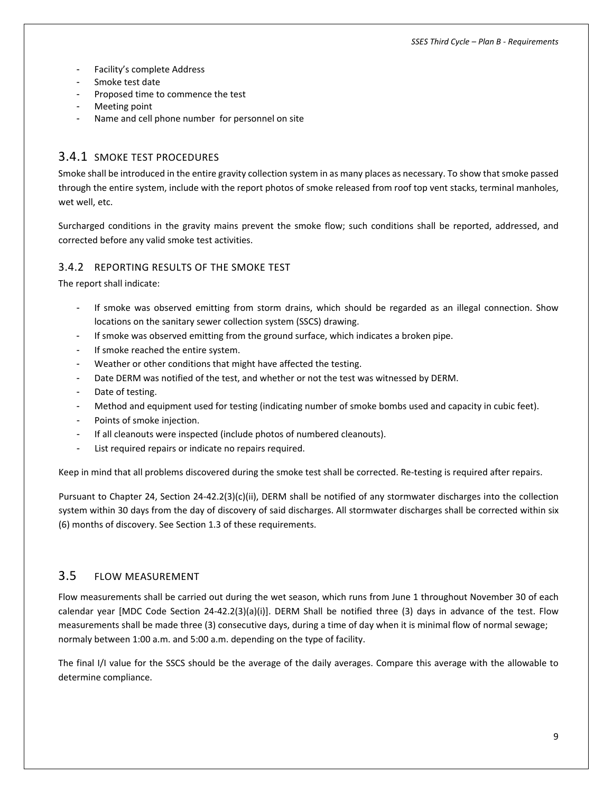- Facility's complete Address
- Smoke test date
- Proposed time to commence the test
- Meeting point
- Name and cell phone number for personnel on site

### 3.4.1 SMOKE TEST PROCEDURES

Smoke shall be introduced in the entire gravity collection system in as many places as necessary. To show that smoke passed through the entire system, include with the report photos of smoke released from roof top vent stacks, terminal manholes, wet well, etc.

Surcharged conditions in the gravity mains prevent the smoke flow; such conditions shall be reported, addressed, and corrected before any valid smoke test activities.

#### 3.4.2 REPORTING RESULTS OF THE SMOKE TEST

The report shall indicate:

- If smoke was observed emitting from storm drains, which should be regarded as an illegal connection. Show locations on the sanitary sewer collection system (SSCS) drawing.
- If smoke was observed emitting from the ground surface, which indicates a broken pipe.
- If smoke reached the entire system.
- Weather or other conditions that might have affected the testing.
- Date DERM was notified of the test, and whether or not the test was witnessed by DERM.
- Date of testing.
- Method and equipment used for testing (indicating number of smoke bombs used and capacity in cubic feet).
- Points of smoke injection.
- If all cleanouts were inspected (include photos of numbered cleanouts).
- List required repairs or indicate no repairs required.

Keep in mind that all problems discovered during the smoke test shall be corrected. Re-testing is required after repairs.

Pursuant to Chapter 24, Section 24‐42.2(3)(c)(ii), DERM shall be notified of any stormwater discharges into the collection system within 30 days from the day of discovery of said discharges. All stormwater discharges shall be corrected within six (6) months of discovery. See Section 1.3 of these requirements.

#### 3.5 FLOW MEASUREMENT

Flow measurements shall be carried out during the wet season, which runs from June 1 throughout November 30 of each calendar year [MDC Code Section 24‐42.2(3)(a)(i)]. DERM Shall be notified three (3) days in advance of the test. Flow measurements shall be made three (3) consecutive days, during a time of day when it is minimal flow of normal sewage; normaly between 1:00 a.m. and 5:00 a.m. depending on the type of facility.

The final I/I value for the SSCS should be the average of the daily averages. Compare this average with the allowable to determine compliance.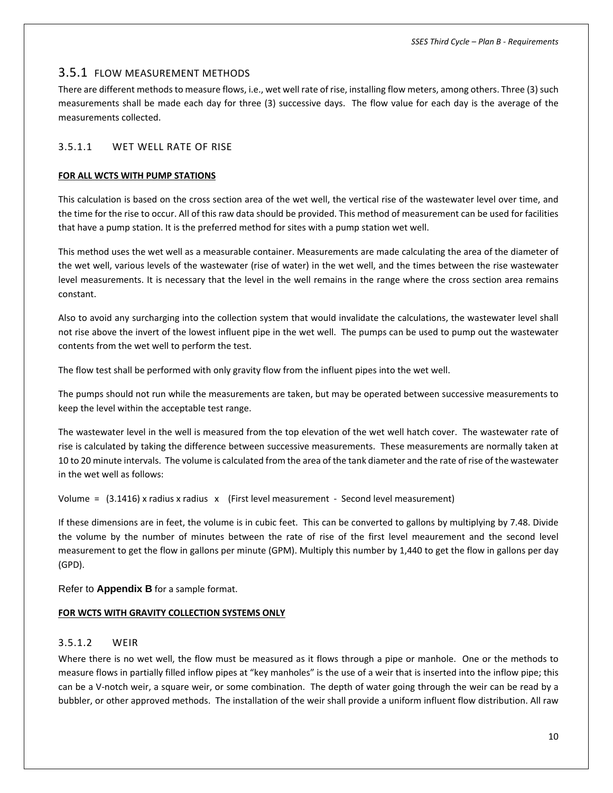#### 3.5.1 FLOW MEASUREMENT METHODS

There are different methods to measure flows, i.e., wet well rate of rise, installing flow meters, among others. Three (3) such measurements shall be made each day for three (3) successive days. The flow value for each day is the average of the measurements collected.

#### 3.5.1.1 WET WELL RATE OF RISE

#### **FOR ALL WCTS WITH PUMP STATIONS**

This calculation is based on the cross section area of the wet well, the vertical rise of the wastewater level over time, and the time for the rise to occur. All of this raw data should be provided. This method of measurement can be used for facilities that have a pump station. It is the preferred method for sites with a pump station wet well.

This method uses the wet well as a measurable container. Measurements are made calculating the area of the diameter of the wet well, various levels of the wastewater (rise of water) in the wet well, and the times between the rise wastewater level measurements. It is necessary that the level in the well remains in the range where the cross section area remains constant.

Also to avoid any surcharging into the collection system that would invalidate the calculations, the wastewater level shall not rise above the invert of the lowest influent pipe in the wet well. The pumps can be used to pump out the wastewater contents from the wet well to perform the test.

The flow test shall be performed with only gravity flow from the influent pipes into the wet well.

The pumps should not run while the measurements are taken, but may be operated between successive measurements to keep the level within the acceptable test range.

The wastewater level in the well is measured from the top elevation of the wet well hatch cover. The wastewater rate of rise is calculated by taking the difference between successive measurements. These measurements are normally taken at 10 to 20 minute intervals. The volume is calculated from the area of the tank diameter and the rate of rise of the wastewater in the wet well as follows:

Volume =  $(3.1416)$  x radius x radius x (First level measurement - Second level measurement)

If these dimensions are in feet, the volume is in cubic feet. This can be converted to gallons by multiplying by 7.48. Divide the volume by the number of minutes between the rate of rise of the first level meaurement and the second level measurement to get the flow in gallons per minute (GPM). Multiply this number by 1,440 to get the flow in gallons per day (GPD).

Refer to **Appendix B** for a sample format.

#### **FOR WCTS WITH GRAVITY COLLECTION SYSTEMS ONLY**

#### 3.5.1.2 WEIR

Where there is no wet well, the flow must be measured as it flows through a pipe or manhole. One or the methods to measure flows in partially filled inflow pipes at "key manholes" is the use of a weir that is inserted into the inflow pipe; this can be a V-notch weir, a square weir, or some combination. The depth of water going through the weir can be read by a bubbler, or other approved methods. The installation of the weir shall provide a uniform influent flow distribution. All raw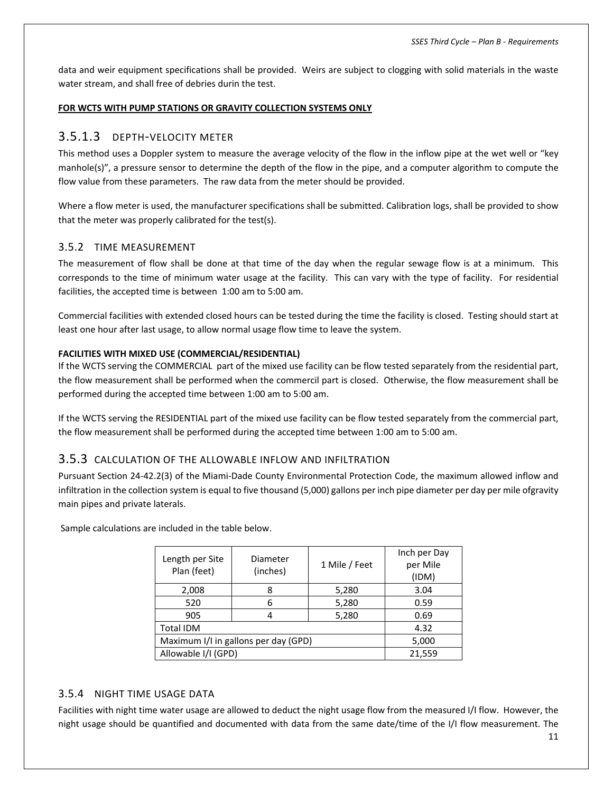data and weir equipment specifications shall be provided. Weirs are subject to clogging with solid materials in the waste water stream, and shall free of debries durin the test.

#### **FOR WCTS WITH PUMP STATIONS OR GRAVITY COLLECTION SYSTEMS ONLY**

#### 3.5.1.3 DEPTH‐VELOCITY METER

This method uses a Doppler system to measure the average velocity of the flow in the inflow pipe at the wet well or "key manhole(s)", a pressure sensor to determine the depth of the flow in the pipe, and a computer algorithm to compute the flow value from these parameters. The raw data from the meter should be provided.

Where a flow meter is used, the manufacturer specifications shall be submitted. Calibration logs, shall be provided to show that the meter was properly calibrated for the test(s).

#### 3.5.2 TIME MEASUREMENT

The measurement of flow shall be done at that time of the day when the regular sewage flow is at a minimum. This corresponds to the time of minimum water usage at the facility. This can vary with the type of facility. For residential facilities, the accepted time is between 1:00 am to 5:00 am.

Commercial facilities with extended closed hours can be tested during the time the facility is closed. Testing should start at least one hour after last usage, to allow normal usage flow time to leave the system.

#### **FACILITIES WITH MIXED USE (COMMERCIAL/RESIDENTIAL)**

If the WCTS serving the COMMERCIAL part of the mixed use facility can be flow tested separately from the residential part, the flow measurement shall be performed when the commercil part is closed. Otherwise, the flow measurement shall be performed during the accepted time between 1:00 am to 5:00 am.

If the WCTS serving the RESIDENTIAL part of the mixed use facility can be flow tested separately from the commercial part, the flow measurement shall be performed during the accepted time between 1:00 am to 5:00 am.

#### 3.5.3 CALCULATION OF THE ALLOWABLE INFLOW AND INFILTRATION

Pursuant Section 24‐42.2(3) of the Miami‐Dade County Environmental Protection Code, the maximum allowed inflow and infiltration in the collection system is equal to five thousand (5,000) gallons per inch pipe diameter per day per mile ofgravity main pipes and private laterals.

Sample calculations are included in the table below.

| Length per Site<br>Plan (feet)       | Diameter<br>(inches) | 1 Mile / Feet | Inch per Day<br>per Mile<br>(IDM) |
|--------------------------------------|----------------------|---------------|-----------------------------------|
| 2,008                                | 8                    | 5,280         | 3.04                              |
| 520                                  | 6                    | 5,280         | 0.59                              |
| 905                                  | 4                    | 5,280         | 0.69                              |
| <b>Total IDM</b>                     | 4.32                 |               |                                   |
| Maximum I/I in gallons per day (GPD) | 5,000                |               |                                   |
| Allowable I/I (GPD)                  | 21,559               |               |                                   |

#### 3.5.4 NIGHT TIME USAGE DATA

Facilities with night time water usage are allowed to deduct the night usage flow from the measured I/I flow. However, the night usage should be quantified and documented with data from the same date/time of the I/I flow measurement. The

11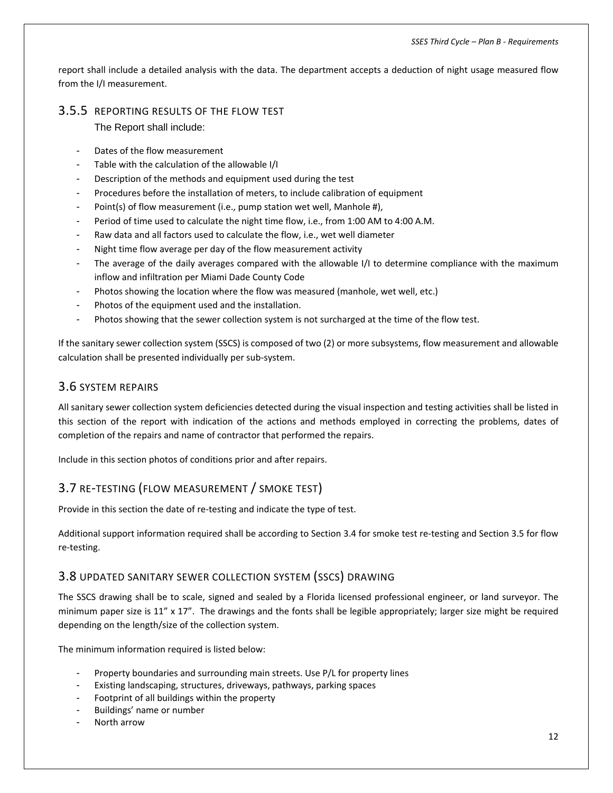report shall include a detailed analysis with the data. The department accepts a deduction of night usage measured flow from the I/I measurement.

## 3.5.5 REPORTING RESULTS OF THE FLOW TEST

The Report shall include:

- Dates of the flow measurement
- Table with the calculation of the allowable I/I
- Description of the methods and equipment used during the test
- Procedures before the installation of meters, to include calibration of equipment
- Point(s) of flow measurement (i.e., pump station wet well, Manhole #),
- Period of time used to calculate the night time flow, i.e., from 1:00 AM to 4:00 A.M.
- Raw data and all factors used to calculate the flow, i.e., wet well diameter
- Night time flow average per day of the flow measurement activity
- The average of the daily averages compared with the allowable I/I to determine compliance with the maximum inflow and infiltration per Miami Dade County Code
- Photos showing the location where the flow was measured (manhole, wet well, etc.)
- Photos of the equipment used and the installation.
- Photos showing that the sewer collection system is not surcharged at the time of the flow test.

If the sanitary sewer collection system (SSCS) is composed of two (2) or more subsystems, flow measurement and allowable calculation shall be presented individually per sub‐system.

## 3.6 SYSTEM REPAIRS

All sanitary sewer collection system deficiencies detected during the visual inspection and testing activities shall be listed in this section of the report with indication of the actions and methods employed in correcting the problems, dates of completion of the repairs and name of contractor that performed the repairs.

Include in this section photos of conditions prior and after repairs.

## 3.7 RE‐TESTING (FLOW MEASUREMENT / SMOKE TEST)

Provide in this section the date of re-testing and indicate the type of test.

Additional support information required shall be according to Section 3.4 for smoke test re‐testing and Section 3.5 for flow re‐testing.

#### 3.8 UPDATED SANITARY SEWER COLLECTION SYSTEM (SSCS) DRAWING

The SSCS drawing shall be to scale, signed and sealed by a Florida licensed professional engineer, or land surveyor. The minimum paper size is  $11''$  x  $17''$ . The drawings and the fonts shall be legible appropriately; larger size might be required depending on the length/size of the collection system.

The minimum information required is listed below:

- Property boundaries and surrounding main streets. Use P/L for property lines
- Existing landscaping, structures, driveways, pathways, parking spaces
- Footprint of all buildings within the property
- Buildings' name or number
- North arrow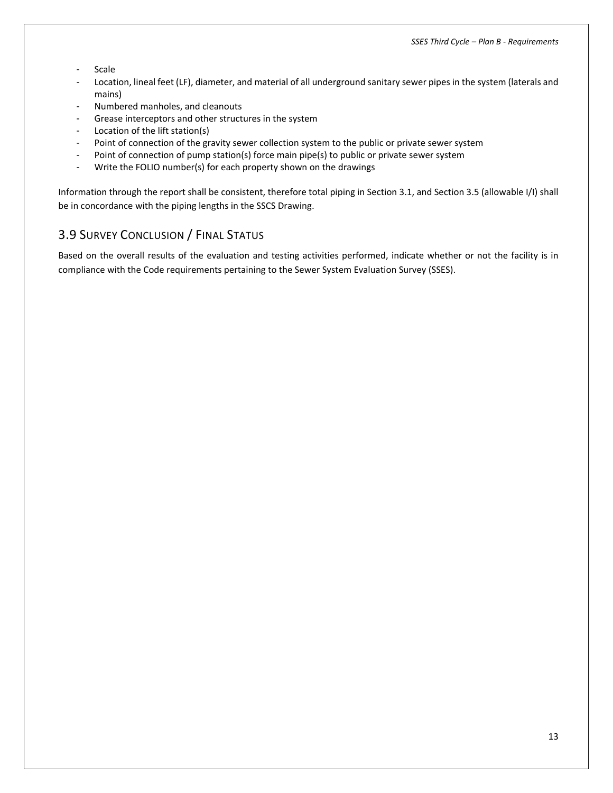- Scale
- Location, lineal feet (LF), diameter, and material of all underground sanitary sewer pipes in the system (laterals and mains)
- Numbered manholes, and cleanouts
- Grease interceptors and other structures in the system
- Location of the lift station(s)
- Point of connection of the gravity sewer collection system to the public or private sewer system
- Point of connection of pump station(s) force main pipe(s) to public or private sewer system
- Write the FOLIO number(s) for each property shown on the drawings

Information through the report shall be consistent, therefore total piping in Section 3.1, and Section 3.5 (allowable I/I) shall be in concordance with the piping lengths in the SSCS Drawing.

## 3.9 SURVEY CONCLUSION / FINAL STATUS

Based on the overall results of the evaluation and testing activities performed, indicate whether or not the facility is in compliance with the Code requirements pertaining to the Sewer System Evaluation Survey (SSES).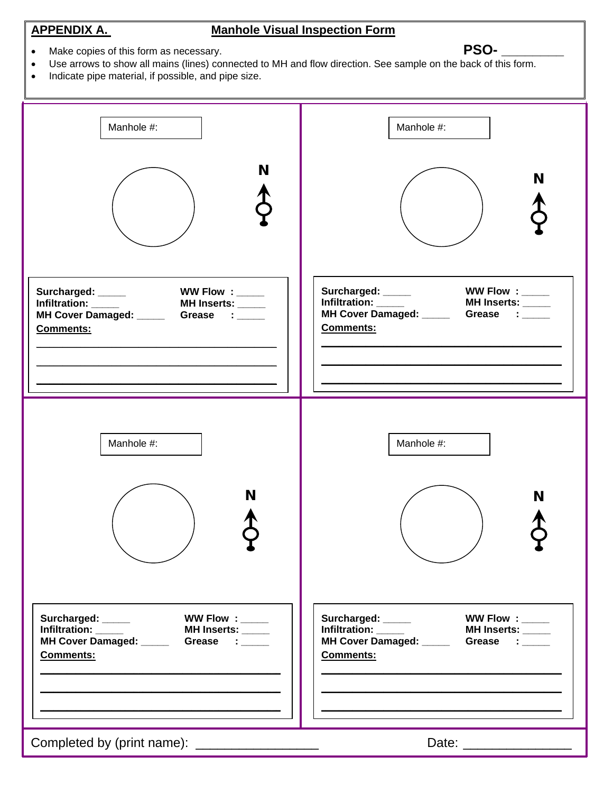#### **APPENDIX A. Manhole Visual Inspection Form**

• Make copies of this form as necessary. **PSO- PSO- PSO-**

- Use arrows to show all mains (lines) connected to MH and flow direction. See sample on the back of this form.
- Indicate pipe material, if possible, and pipe size.

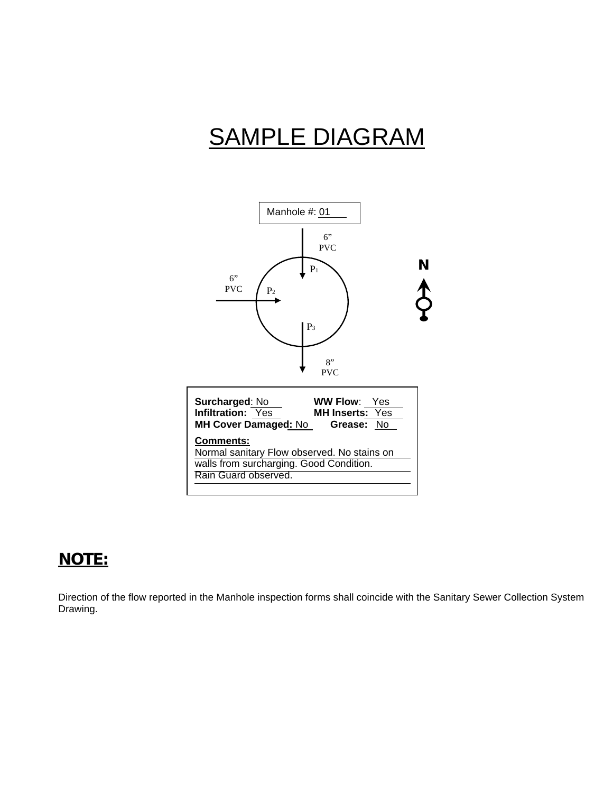# SAMPLE DIAGRAM



## **NOTE:**

Direction of the flow reported in the Manhole inspection forms shall coincide with the Sanitary Sewer Collection System Drawing.